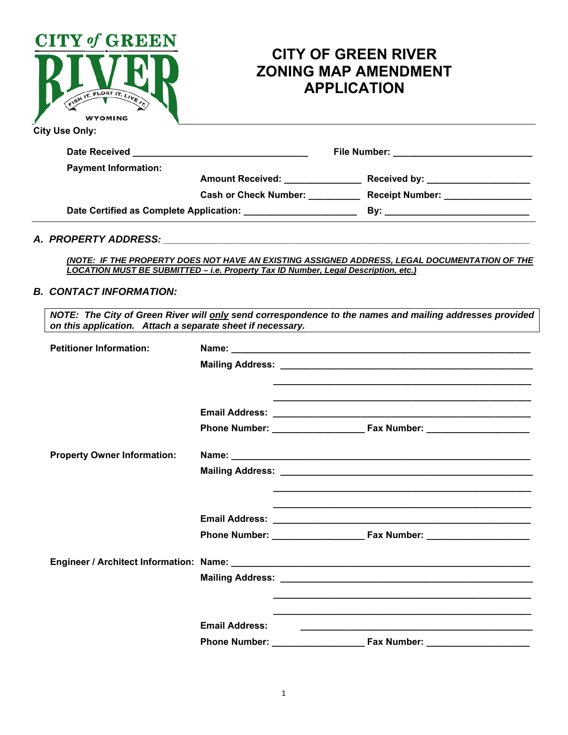|                                                                                                                                                  | <b>CITY OF GREEN RIVER</b><br><b>ZONING MAP AMENDMENT</b><br><b>APPLICATION</b>                                                                                                                          |
|--------------------------------------------------------------------------------------------------------------------------------------------------|----------------------------------------------------------------------------------------------------------------------------------------------------------------------------------------------------------|
|                                                                                                                                                  |                                                                                                                                                                                                          |
|                                                                                                                                                  |                                                                                                                                                                                                          |
|                                                                                                                                                  |                                                                                                                                                                                                          |
|                                                                                                                                                  |                                                                                                                                                                                                          |
|                                                                                                                                                  |                                                                                                                                                                                                          |
| LOCATION MUST BE SUBMITTED - i.e. Property Tax ID Number, Legal Description, etc.)<br>on this application. Attach a separate sheet if necessary. | (NOTE: IF THE PROPERTY DOES NOT HAVE AN EXISTING ASSIGNED ADDRESS, LEGAL DOCUMENTATION OF THE<br>NOTE: The City of Green River will only send correspondence to the names and mailing addresses provided |
|                                                                                                                                                  |                                                                                                                                                                                                          |
| <b>Email Address:</b>                                                                                                                            |                                                                                                                                                                                                          |
|                                                                                                                                                  | <b>Phone Number:</b> Fax Number:                                                                                                                                                                         |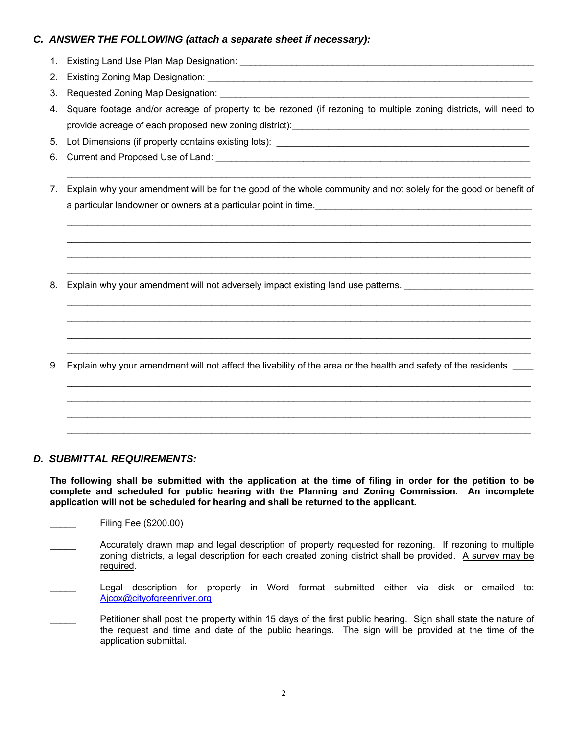## *C. ANSWER THE FOLLOWING (attach a separate sheet if necessary):*

- 1. Existing Land Use Plan Map Designation: \_\_\_\_\_\_\_\_\_\_\_\_\_\_\_\_\_\_\_\_\_\_\_\_\_\_\_\_\_\_\_\_\_\_\_\_\_\_\_\_\_\_\_\_\_\_\_\_\_\_\_\_\_\_\_\_\_
- 2. Existing Zoning Map Designation:
- 3. Requested Zoning Map Designation:
- 4. Square footage and/or acreage of property to be rezoned (if rezoning to multiple zoning districts, will need to provide acreage of each proposed new zoning district): www.community-contracts
- 5. Lot Dimensions (if property contains existing lots): \_\_\_\_\_\_\_\_\_\_\_\_\_\_\_\_\_\_\_\_\_\_\_\_\_\_\_\_\_\_\_\_\_\_\_\_\_\_\_\_\_\_\_\_\_\_\_\_\_
- 6. Current and Proposed Use of Land: \_\_\_\_\_\_\_\_\_\_\_\_\_\_\_\_\_\_\_\_\_\_\_\_\_\_\_\_\_\_\_\_\_\_\_\_\_\_\_\_\_\_\_\_\_\_\_\_\_\_\_\_\_\_\_\_\_\_\_\_\_
- 7. Explain why your amendment will be for the good of the whole community and not solely for the good or benefit of a particular landowner or owners at a particular point in time.

8. Explain why your amendment will not adversely impact existing land use patterns.

9. Explain why your amendment will not affect the livability of the area or the health and safety of the residents.

## *D. SUBMITTAL REQUIREMENTS:*

**The following shall be submitted with the application at the time of filing in order for the petition to be complete and scheduled for public hearing with the Planning and Zoning Commission. An incomplete application will not be scheduled for hearing and shall be returned to the applicant.** 

- \_\_\_\_\_ Filing Fee (\$200.00)
- Accurately drawn map and legal description of property requested for rezoning. If rezoning to multiple zoning districts, a legal description for each created zoning district shall be provided. A survey may be required.
- Legal description for property in Word format submitted either via disk or emailed to: Ajcox@cityofgreenriver.org.
- Petitioner shall post the property within 15 days of the first public hearing. Sign shall state the nature of the request and time and date of the public hearings. The sign will be provided at the time of the application submittal.